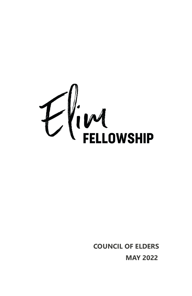

**COUNCIL OF ELDERS MAY 2022**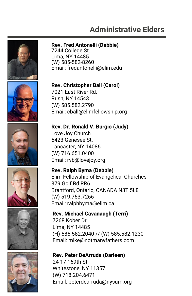# **Administrative Elders**





Lima, NY 14485 (W) 585-582-8260 Email: fredantonelli@elim.edu

#### **Rev. Christopher Ball (Carol)**

7021 East River Rd. Rush, NY 14543 (W) 585.582.2790 Email: cball@elimfellowship.org

**Rev. Dr. Ronald V. Burgio (Judy)** 

Love Joy Church 5423 Genesee St. Lancaster, NY 14086 (W) 716.651.0400 Email: rvb@lovejoy.org

**Rev. Ralph Byma (Debbie)**  Elim Fellowship of Evangelical Churches 379 Golf Rd RR6

Brantford, Ontario, CANADA N3T 5L8 (W) 519.753.7266 Email: ralphbyma@elim.ca

### **Rev. Michael Cavanaugh (Terri)**

7268 Kober Dr. Lima, NY 14485 (H) 585.582.2040 // (W) 585.582.1230 Email: mike@notmanyfathers.com

#### **Rev. Peter DeArruda (Darleen)**

24-17 169th St. Whitestone, NY 11357 (W) 718.204.6471 Email: peterdearruda@nysum.org





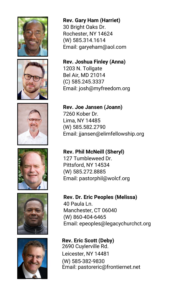











**Rev. Gary Ham (Harriet)**  30 Bright Oaks Dr. Rochester, NY 14624 (W) 585.314.1614 Email: garyeham@aol.com

**Rev. Joshua Finley (Anna)**  1203 N. Tollgate Bel Air, MD 21014 (C) 585.245.3337 Email: josh@myfreedom.org

**Rev. Joe Jansen (Joann)**  7260 Kober Dr. Lima, NY 14485 (W) 585.582.2790 Email: jjansen@elimfellowship.org

**Rev. Phil McNeill (Sheryl)**  127 Tumbleweed Dr. Pittsford, NY 14534 (W) 585.272.8885 Email: pastorphil@wolcf.org

**Rev. Dr. Eric Peoples (Melissa)**  40 Paula Ln. Manchester, CT 06040 (W) 860-404-6465 Email: epeoples@legacychurchct.org

**Rev. Eric Scott (Deby)**  2690 Cuylerville Rd. Leicester, NY 14481 (W) 585-382-9830 Email: pastoreric@frontiernet.net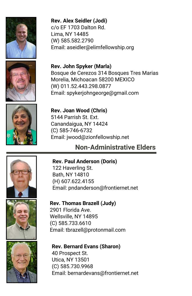

**Rev. Alex Seidler (Jodi)**  c/o EF 1703 Dalton Rd. Lima, NY 14485 (W) 585.582.2790 Email: aseidler@elimfellowship.org





Bosque de Cerezos 314 Bosques Tres Marias Morelia, Michoacan 58200 MEXICO (W) 011.52.443.298.0877 Email: spykerjohngeorge@gmail.com



**Rev. Joan Wood (Chris)**  5144 Parrish St. Ext. Canandaigua, NY 14424 (C) 585-746-6732 Email: jwood@zionfellowship.net

## **Non-Administrative Elders**







**Rev. Paul Anderson (Doris)** 

122 Haverling St. Bath, NY 14810 (H) 607.622.4155 Email: pndanderson@frontiernet.net

**Rev. Thomas Brazell (Judy)** 

2901 Florida Ave. Wellsville, NY 14895 (C) 585.733.6610 Email: tbrazell@protonmail.com

**Rev. Bernard Evans (Sharon)** 

40 Prospect St. Utica, NY 13501 (C) 585.730.9968 Email: bernardevans@frontiernet.net